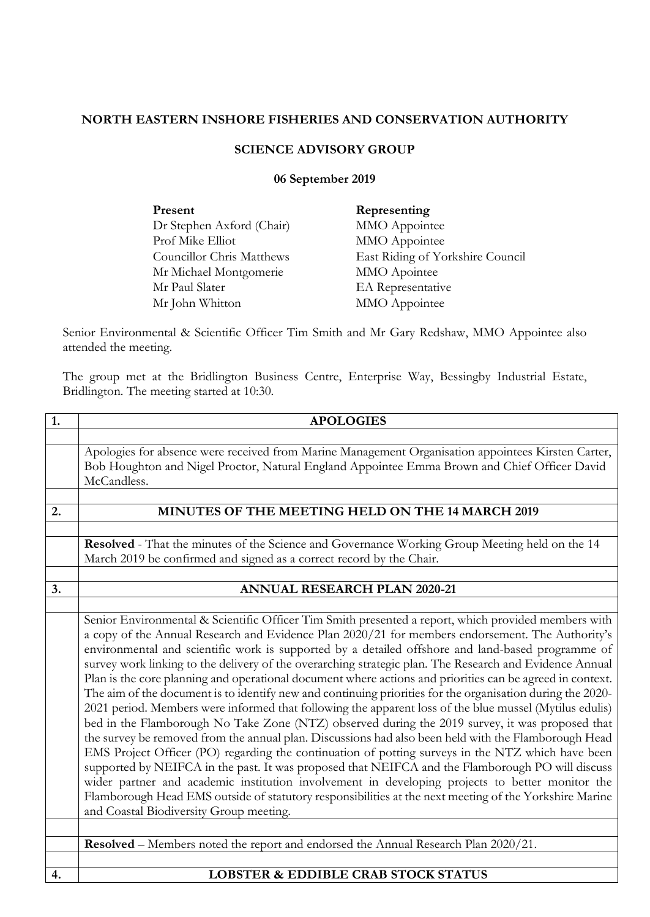## **NORTH EASTERN INSHORE FISHERIES AND CONSERVATION AUTHORITY**

## **SCIENCE ADVISORY GROUP**

## **06 September 2019**

| Present                   | Representing                     |
|---------------------------|----------------------------------|
| Dr Stephen Axford (Chair) | MMO Appointee                    |
| Prof Mike Elliot          | MMO Appointee                    |
| Councillor Chris Matthews | East Riding of Yorkshire Council |
| Mr Michael Montgomerie    | MMO Apointee                     |
| Mr Paul Slater            | EA Representative                |
| Mr John Whitton           | MMO Appointee                    |
|                           |                                  |

Senior Environmental & Scientific Officer Tim Smith and Mr Gary Redshaw, MMO Appointee also attended the meeting.

The group met at the Bridlington Business Centre, Enterprise Way, Bessingby Industrial Estate, Bridlington. The meeting started at 10:30.

| 1. | <b>APOLOGIES</b>                                                                                                                                                                                      |
|----|-------------------------------------------------------------------------------------------------------------------------------------------------------------------------------------------------------|
|    |                                                                                                                                                                                                       |
|    | Apologies for absence were received from Marine Management Organisation appointees Kirsten Carter,                                                                                                    |
|    | Bob Houghton and Nigel Proctor, Natural England Appointee Emma Brown and Chief Officer David                                                                                                          |
|    | McCandless.                                                                                                                                                                                           |
|    |                                                                                                                                                                                                       |
| 2. | MINUTES OF THE MEETING HELD ON THE 14 MARCH 2019                                                                                                                                                      |
|    |                                                                                                                                                                                                       |
|    | Resolved - That the minutes of the Science and Governance Working Group Meeting held on the 14                                                                                                        |
|    | March 2019 be confirmed and signed as a correct record by the Chair.                                                                                                                                  |
|    |                                                                                                                                                                                                       |
| 3. | <b>ANNUAL RESEARCH PLAN 2020-21</b>                                                                                                                                                                   |
|    |                                                                                                                                                                                                       |
|    | Senior Environmental & Scientific Officer Tim Smith presented a report, which provided members with                                                                                                   |
|    | a copy of the Annual Research and Evidence Plan 2020/21 for members endorsement. The Authority's                                                                                                      |
|    | environmental and scientific work is supported by a detailed offshore and land-based programme of                                                                                                     |
|    | survey work linking to the delivery of the overarching strategic plan. The Research and Evidence Annual                                                                                               |
|    | Plan is the core planning and operational document where actions and priorities can be agreed in context.                                                                                             |
|    | The aim of the document is to identify new and continuing priorities for the organisation during the 2020-                                                                                            |
|    | 2021 period. Members were informed that following the apparent loss of the blue mussel (Mytilus edulis)                                                                                               |
|    | bed in the Flamborough No Take Zone (NTZ) observed during the 2019 survey, it was proposed that                                                                                                       |
|    | the survey be removed from the annual plan. Discussions had also been held with the Flamborough Head                                                                                                  |
|    | EMS Project Officer (PO) regarding the continuation of potting surveys in the NTZ which have been<br>supported by NEIFCA in the past. It was proposed that NEIFCA and the Flamborough PO will discuss |
|    | wider partner and academic institution involvement in developing projects to better monitor the                                                                                                       |
|    | Flamborough Head EMS outside of statutory responsibilities at the next meeting of the Yorkshire Marine                                                                                                |
|    | and Coastal Biodiversity Group meeting.                                                                                                                                                               |
|    |                                                                                                                                                                                                       |
|    | <b>Resolved</b> – Members noted the report and endorsed the Annual Research Plan 2020/21.                                                                                                             |
|    |                                                                                                                                                                                                       |
| 4. | <b>LOBSTER &amp; EDDIBLE CRAB STOCK STATUS</b>                                                                                                                                                        |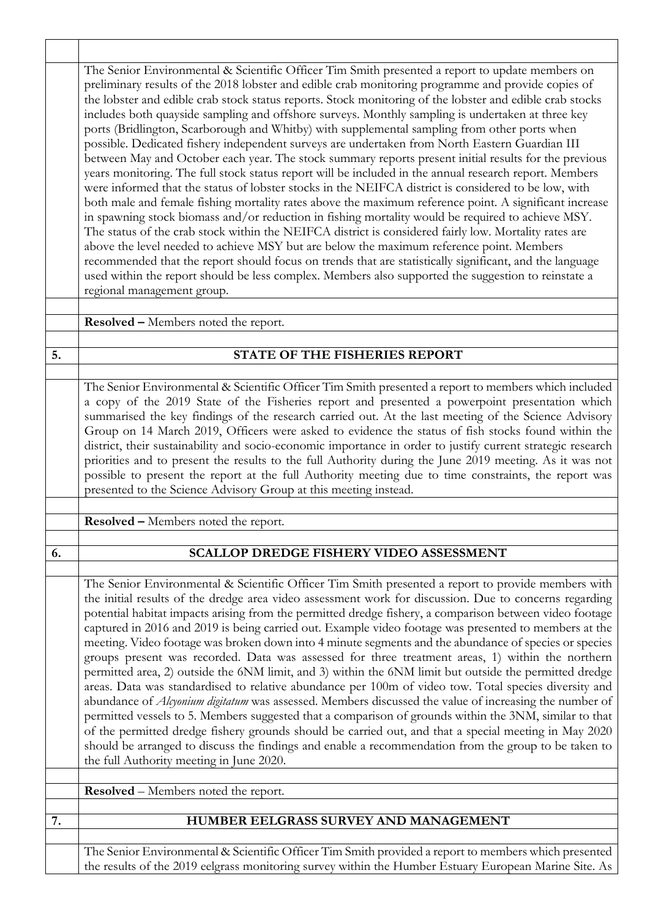|    | The Senior Environmental & Scientific Officer Tim Smith presented a report to update members on<br>preliminary results of the 2018 lobster and edible crab monitoring programme and provide copies of<br>the lobster and edible crab stock status reports. Stock monitoring of the lobster and edible crab stocks<br>includes both quayside sampling and offshore surveys. Monthly sampling is undertaken at three key<br>ports (Bridlington, Scarborough and Whitby) with supplemental sampling from other ports when<br>possible. Dedicated fishery independent surveys are undertaken from North Eastern Guardian III<br>between May and October each year. The stock summary reports present initial results for the previous<br>years monitoring. The full stock status report will be included in the annual research report. Members<br>were informed that the status of lobster stocks in the NEIFCA district is considered to be low, with<br>both male and female fishing mortality rates above the maximum reference point. A significant increase<br>in spawning stock biomass and/or reduction in fishing mortality would be required to achieve MSY.<br>The status of the crab stock within the NEIFCA district is considered fairly low. Mortality rates are<br>above the level needed to achieve MSY but are below the maximum reference point. Members<br>recommended that the report should focus on trends that are statistically significant, and the language<br>used within the report should be less complex. Members also supported the suggestion to reinstate a<br>regional management group. |
|----|-------------------------------------------------------------------------------------------------------------------------------------------------------------------------------------------------------------------------------------------------------------------------------------------------------------------------------------------------------------------------------------------------------------------------------------------------------------------------------------------------------------------------------------------------------------------------------------------------------------------------------------------------------------------------------------------------------------------------------------------------------------------------------------------------------------------------------------------------------------------------------------------------------------------------------------------------------------------------------------------------------------------------------------------------------------------------------------------------------------------------------------------------------------------------------------------------------------------------------------------------------------------------------------------------------------------------------------------------------------------------------------------------------------------------------------------------------------------------------------------------------------------------------------------------------------------------------------------------------------------------|
|    | Resolved - Members noted the report.                                                                                                                                                                                                                                                                                                                                                                                                                                                                                                                                                                                                                                                                                                                                                                                                                                                                                                                                                                                                                                                                                                                                                                                                                                                                                                                                                                                                                                                                                                                                                                                    |
|    |                                                                                                                                                                                                                                                                                                                                                                                                                                                                                                                                                                                                                                                                                                                                                                                                                                                                                                                                                                                                                                                                                                                                                                                                                                                                                                                                                                                                                                                                                                                                                                                                                         |
| 5. | <b>STATE OF THE FISHERIES REPORT</b>                                                                                                                                                                                                                                                                                                                                                                                                                                                                                                                                                                                                                                                                                                                                                                                                                                                                                                                                                                                                                                                                                                                                                                                                                                                                                                                                                                                                                                                                                                                                                                                    |
|    | The Senior Environmental & Scientific Officer Tim Smith presented a report to members which included<br>a copy of the 2019 State of the Fisheries report and presented a powerpoint presentation which<br>summarised the key findings of the research carried out. At the last meeting of the Science Advisory<br>Group on 14 March 2019, Officers were asked to evidence the status of fish stocks found within the<br>district, their sustainability and socio-economic importance in order to justify current strategic research<br>priorities and to present the results to the full Authority during the June 2019 meeting. As it was not<br>possible to present the report at the full Authority meeting due to time constraints, the report was<br>presented to the Science Advisory Group at this meeting instead.                                                                                                                                                                                                                                                                                                                                                                                                                                                                                                                                                                                                                                                                                                                                                                                              |
|    | <b>Resolved - Members noted the report.</b>                                                                                                                                                                                                                                                                                                                                                                                                                                                                                                                                                                                                                                                                                                                                                                                                                                                                                                                                                                                                                                                                                                                                                                                                                                                                                                                                                                                                                                                                                                                                                                             |
|    |                                                                                                                                                                                                                                                                                                                                                                                                                                                                                                                                                                                                                                                                                                                                                                                                                                                                                                                                                                                                                                                                                                                                                                                                                                                                                                                                                                                                                                                                                                                                                                                                                         |
| 6. | <b>SCALLOP DREDGE FISHERY VIDEO ASSESSMENT</b>                                                                                                                                                                                                                                                                                                                                                                                                                                                                                                                                                                                                                                                                                                                                                                                                                                                                                                                                                                                                                                                                                                                                                                                                                                                                                                                                                                                                                                                                                                                                                                          |
|    | The Senior Environmental & Scientific Officer Tim Smith presented a report to provide members with<br>the initial results of the dredge area video assessment work for discussion. Due to concerns regarding<br>potential habitat impacts arising from the permitted dredge fishery, a comparison between video footage<br>captured in 2016 and 2019 is being carried out. Example video footage was presented to members at the<br>meeting. Video footage was broken down into 4 minute segments and the abundance of species or species<br>groups present was recorded. Data was assessed for three treatment areas, 1) within the northern<br>permitted area, 2) outside the 6NM limit, and 3) within the 6NM limit but outside the permitted dredge<br>areas. Data was standardised to relative abundance per 100m of video tow. Total species diversity and<br>abundance of Alcyonium digitatum was assessed. Members discussed the value of increasing the number of<br>permitted vessels to 5. Members suggested that a comparison of grounds within the 3NM, similar to that<br>of the permitted dredge fishery grounds should be carried out, and that a special meeting in May 2020<br>should be arranged to discuss the findings and enable a recommendation from the group to be taken to<br>the full Authority meeting in June 2020.<br><b>Resolved</b> – Members noted the report.                                                                                                                                                                                                                        |
| 7. | HUMBER EELGRASS SURVEY AND MANAGEMENT                                                                                                                                                                                                                                                                                                                                                                                                                                                                                                                                                                                                                                                                                                                                                                                                                                                                                                                                                                                                                                                                                                                                                                                                                                                                                                                                                                                                                                                                                                                                                                                   |
|    | The Senior Environmental & Scientific Officer Tim Smith provided a report to members which presented<br>the results of the 2019 eelgrass monitoring survey within the Humber Estuary European Marine Site. As                                                                                                                                                                                                                                                                                                                                                                                                                                                                                                                                                                                                                                                                                                                                                                                                                                                                                                                                                                                                                                                                                                                                                                                                                                                                                                                                                                                                           |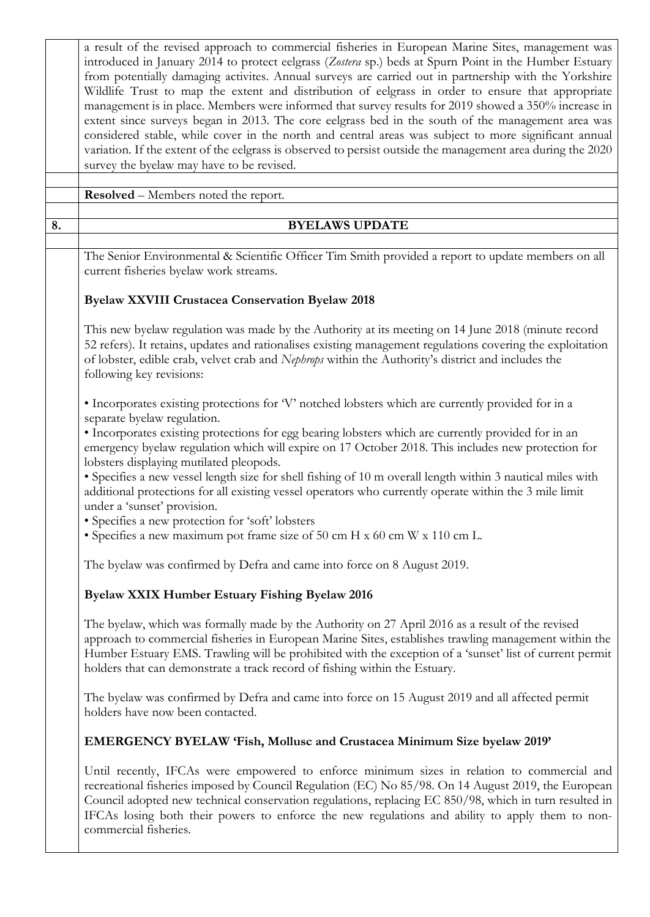|    | a result of the revised approach to commercial fisheries in European Marine Sites, management was<br>introduced in January 2014 to protect eelgrass (Zostera sp.) beds at Spurn Point in the Humber Estuary<br>from potentially damaging activites. Annual surveys are carried out in partnership with the Yorkshire<br>Wildlife Trust to map the extent and distribution of eelgrass in order to ensure that appropriate<br>management is in place. Members were informed that survey results for 2019 showed a 350% increase in<br>extent since surveys began in 2013. The core eelgrass bed in the south of the management area was<br>considered stable, while cover in the north and central areas was subject to more significant annual<br>variation. If the extent of the eelgrass is observed to persist outside the management area during the 2020<br>survey the byelaw may have to be revised. |  |
|----|------------------------------------------------------------------------------------------------------------------------------------------------------------------------------------------------------------------------------------------------------------------------------------------------------------------------------------------------------------------------------------------------------------------------------------------------------------------------------------------------------------------------------------------------------------------------------------------------------------------------------------------------------------------------------------------------------------------------------------------------------------------------------------------------------------------------------------------------------------------------------------------------------------|--|
|    |                                                                                                                                                                                                                                                                                                                                                                                                                                                                                                                                                                                                                                                                                                                                                                                                                                                                                                            |  |
|    | <b>Resolved</b> – Members noted the report.                                                                                                                                                                                                                                                                                                                                                                                                                                                                                                                                                                                                                                                                                                                                                                                                                                                                |  |
| 8. | <b>BYELAWS UPDATE</b>                                                                                                                                                                                                                                                                                                                                                                                                                                                                                                                                                                                                                                                                                                                                                                                                                                                                                      |  |
|    |                                                                                                                                                                                                                                                                                                                                                                                                                                                                                                                                                                                                                                                                                                                                                                                                                                                                                                            |  |
|    | The Senior Environmental & Scientific Officer Tim Smith provided a report to update members on all<br>current fisheries byelaw work streams.                                                                                                                                                                                                                                                                                                                                                                                                                                                                                                                                                                                                                                                                                                                                                               |  |
|    | <b>Byelaw XXVIII Crustacea Conservation Byelaw 2018</b>                                                                                                                                                                                                                                                                                                                                                                                                                                                                                                                                                                                                                                                                                                                                                                                                                                                    |  |
|    | This new byelaw regulation was made by the Authority at its meeting on 14 June 2018 (minute record<br>52 refers). It retains, updates and rationalises existing management regulations covering the exploitation<br>of lobster, edible crab, velvet crab and Nephrops within the Authority's district and includes the<br>following key revisions:                                                                                                                                                                                                                                                                                                                                                                                                                                                                                                                                                         |  |
|    | • Incorporates existing protections for 'V' notched lobsters which are currently provided for in a<br>separate byelaw regulation.<br>· Incorporates existing protections for egg bearing lobsters which are currently provided for in an<br>emergency byelaw regulation which will expire on 17 October 2018. This includes new protection for<br>lobsters displaying mutilated pleopods.<br>• Specifies a new vessel length size for shell fishing of 10 m overall length within 3 nautical miles with<br>additional protections for all existing vessel operators who currently operate within the 3 mile limit<br>under a 'sunset' provision.<br>• Specifies a new protection for 'soft' lobsters<br>• Specifies a new maximum pot frame size of 50 cm H x 60 cm W x 110 cm L.<br>The byelaw was confirmed by Defra and came into force on 8 August 2019.                                               |  |
|    | Byelaw XXIX Humber Estuary Fishing Byelaw 2016                                                                                                                                                                                                                                                                                                                                                                                                                                                                                                                                                                                                                                                                                                                                                                                                                                                             |  |
|    | The byelaw, which was formally made by the Authority on 27 April 2016 as a result of the revised<br>approach to commercial fisheries in European Marine Sites, establishes trawling management within the<br>Humber Estuary EMS. Trawling will be prohibited with the exception of a 'sunset' list of current permit<br>holders that can demonstrate a track record of fishing within the Estuary.                                                                                                                                                                                                                                                                                                                                                                                                                                                                                                         |  |
|    | The byelaw was confirmed by Defra and came into force on 15 August 2019 and all affected permit<br>holders have now been contacted.                                                                                                                                                                                                                                                                                                                                                                                                                                                                                                                                                                                                                                                                                                                                                                        |  |
|    | <b>EMERGENCY BYELAW 'Fish, Mollusc and Crustacea Minimum Size byelaw 2019'</b>                                                                                                                                                                                                                                                                                                                                                                                                                                                                                                                                                                                                                                                                                                                                                                                                                             |  |
|    | Until recently, IFCAs were empowered to enforce minimum sizes in relation to commercial and<br>recreational fisheries imposed by Council Regulation (EC) No 85/98. On 14 August 2019, the European<br>Council adopted new technical conservation regulations, replacing EC 850/98, which in turn resulted in<br>IFCAs losing both their powers to enforce the new regulations and ability to apply them to non-<br>commercial fisheries.                                                                                                                                                                                                                                                                                                                                                                                                                                                                   |  |